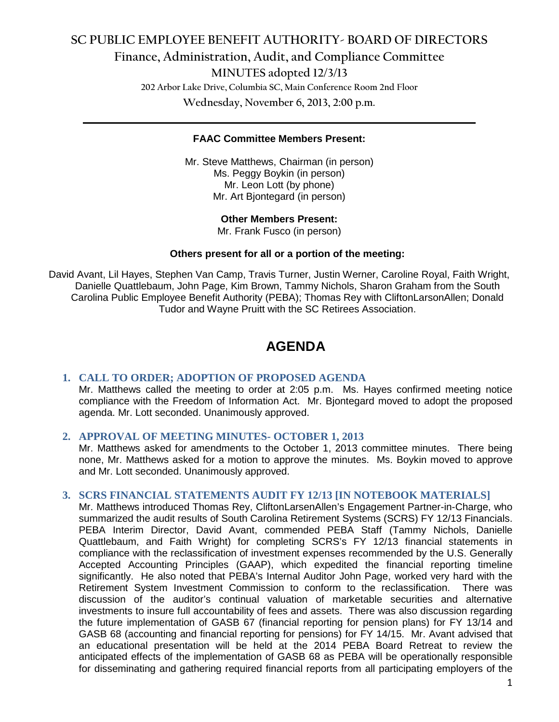# **SC PUBLIC EMPLOYEE BENEFIT AUTHORITY- BOARD OF DIRECTORS Finance, Administration, Audit, and Compliance Committee MINUTES adopted 12/3/13 202 Arbor Lake Drive, Columbia SC, Main Conference Room 2nd Floor**

**Wednesday, November 6, 2013, 2:00 p.m. \_\_\_\_\_\_\_\_\_\_\_\_\_\_\_\_\_\_\_\_\_\_\_\_\_\_\_\_\_\_\_\_\_\_\_\_\_\_\_\_\_\_\_\_\_\_\_\_\_\_\_\_\_\_\_\_\_\_\_\_\_\_\_\_\_\_\_\_\_\_\_\_**

### **FAAC Committee Members Present:**

Mr. Steve Matthews, Chairman (in person) Ms. Peggy Boykin (in person) Mr. Leon Lott (by phone) Mr. Art Bjontegard (in person)

#### **Other Members Present:**

Mr. Frank Fusco (in person)

#### **Others present for all or a portion of the meeting:**

David Avant, Lil Hayes, Stephen Van Camp, Travis Turner, Justin Werner, Caroline Royal, Faith Wright, Danielle Quattlebaum, John Page, Kim Brown, Tammy Nichols, Sharon Graham from the South Carolina Public Employee Benefit Authority (PEBA); Thomas Rey with CliftonLarsonAllen; Donald Tudor and Wayne Pruitt with the SC Retirees Association.

## **AGENDA**

## **1. CALL TO ORDER; ADOPTION OF PROPOSED AGENDA**

Mr. Matthews called the meeting to order at 2:05 p.m. Ms. Hayes confirmed meeting notice compliance with the Freedom of Information Act. Mr. Bjontegard moved to adopt the proposed agenda. Mr. Lott seconded. Unanimously approved.

## **2. APPROVAL OF MEETING MINUTES- OCTOBER 1, 2013**

Mr. Matthews asked for amendments to the October 1, 2013 committee minutes. There being none, Mr. Matthews asked for a motion to approve the minutes. Ms. Boykin moved to approve and Mr. Lott seconded. Unanimously approved.

#### **3. SCRS FINANCIAL STATEMENTS AUDIT FY 12/13 [IN NOTEBOOK MATERIALS]**

Mr. Matthews introduced Thomas Rey, CliftonLarsenAllen's Engagement Partner-in-Charge, who summarized the audit results of South Carolina Retirement Systems (SCRS) FY 12/13 Financials. PEBA Interim Director, David Avant, commended PEBA Staff (Tammy Nichols, Danielle Quattlebaum, and Faith Wright) for completing SCRS's FY 12/13 financial statements in compliance with the reclassification of investment expenses recommended by the U.S. Generally Accepted Accounting Principles (GAAP), which expedited the financial reporting timeline significantly. He also noted that PEBA's Internal Auditor John Page, worked very hard with the Retirement System Investment Commission to conform to the reclassification. There was discussion of the auditor's continual valuation of marketable securities and alternative investments to insure full accountability of fees and assets. There was also discussion regarding the future implementation of GASB 67 (financial reporting for pension plans) for FY 13/14 and GASB 68 (accounting and financial reporting for pensions) for FY 14/15. Mr. Avant advised that an educational presentation will be held at the 2014 PEBA Board Retreat to review the anticipated effects of the implementation of GASB 68 as PEBA will be operationally responsible for disseminating and gathering required financial reports from all participating employers of the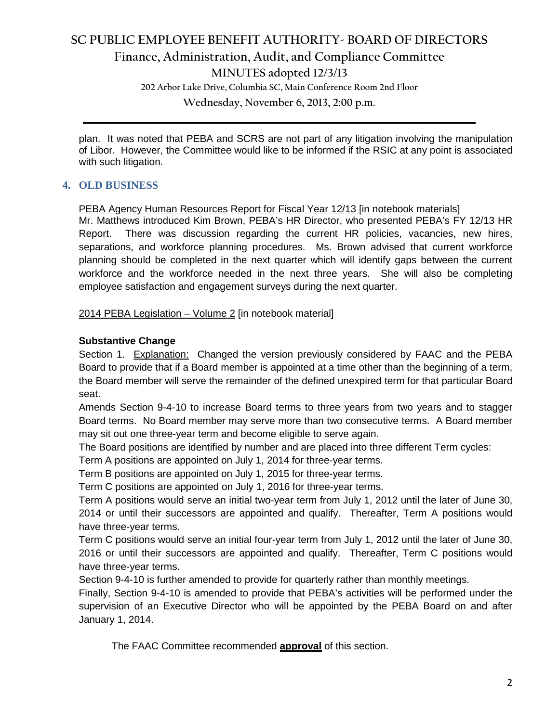# **SC PUBLIC EMPLOYEE BENEFIT AUTHORITY- BOARD OF DIRECTORS Finance, Administration, Audit, and Compliance Committee**

**MINUTES adopted 12/3/13**

**202 Arbor Lake Drive, Columbia SC, Main Conference Room 2nd Floor**

**Wednesday, November 6, 2013, 2:00 p.m. \_\_\_\_\_\_\_\_\_\_\_\_\_\_\_\_\_\_\_\_\_\_\_\_\_\_\_\_\_\_\_\_\_\_\_\_\_\_\_\_\_\_\_\_\_\_\_\_\_\_\_\_\_\_\_\_\_\_\_\_\_\_\_\_\_\_\_\_\_\_\_\_**

plan. It was noted that PEBA and SCRS are not part of any litigation involving the manipulation of Libor. However, the Committee would like to be informed if the RSIC at any point is associated with such litigation.

## **4. OLD BUSINESS**

PEBA Agency Human Resources Report for Fiscal Year 12/13 [in notebook materials]

Mr. Matthews introduced Kim Brown, PEBA's HR Director, who presented PEBA's FY 12/13 HR Report. There was discussion regarding the current HR policies, vacancies, new hires, separations, and workforce planning procedures. Ms. Brown advised that current workforce planning should be completed in the next quarter which will identify gaps between the current workforce and the workforce needed in the next three years. She will also be completing employee satisfaction and engagement surveys during the next quarter.

2014 PEBA Legislation - Volume 2 [in notebook material]

### **Substantive Change**

Section 1. Explanation: Changed the version previously considered by FAAC and the PEBA Board to provide that if a Board member is appointed at a time other than the beginning of a term, the Board member will serve the remainder of the defined unexpired term for that particular Board seat.

Amends Section 9-4-10 to increase Board terms to three years from two years and to stagger Board terms. No Board member may serve more than two consecutive terms. A Board member may sit out one three-year term and become eligible to serve again.

The Board positions are identified by number and are placed into three different Term cycles:

Term A positions are appointed on July 1, 2014 for three-year terms.

Term B positions are appointed on July 1, 2015 for three-year terms.

Term C positions are appointed on July 1, 2016 for three-year terms.

Term A positions would serve an initial two-year term from July 1, 2012 until the later of June 30, 2014 or until their successors are appointed and qualify. Thereafter, Term A positions would have three-year terms.

Term C positions would serve an initial four-year term from July 1, 2012 until the later of June 30, 2016 or until their successors are appointed and qualify. Thereafter, Term C positions would have three-year terms.

Section 9-4-10 is further amended to provide for quarterly rather than monthly meetings.

Finally, Section 9-4-10 is amended to provide that PEBA's activities will be performed under the supervision of an Executive Director who will be appointed by the PEBA Board on and after January 1, 2014.

The FAAC Committee recommended **approval** of this section.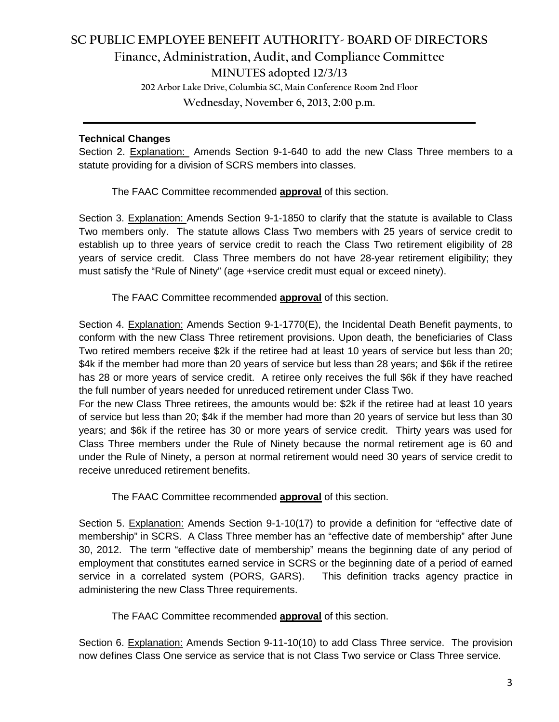## **SC PUBLIC EMPLOYEE BENEFIT AUTHORITY- BOARD OF DIRECTORS Finance, Administration, Audit, and Compliance Committee MINUTES adopted 12/3/13 202 Arbor Lake Drive, Columbia SC, Main Conference Room 2nd Floor**

**Wednesday, November 6, 2013, 2:00 p.m.**

**\_\_\_\_\_\_\_\_\_\_\_\_\_\_\_\_\_\_\_\_\_\_\_\_\_\_\_\_\_\_\_\_\_\_\_\_\_\_\_\_\_\_\_\_\_\_\_\_\_\_\_\_\_\_\_\_\_\_\_\_\_\_\_\_\_\_\_\_\_\_\_\_**

### **Technical Changes**

Section 2. Explanation: Amends Section 9-1-640 to add the new Class Three members to a statute providing for a division of SCRS members into classes.

The FAAC Committee recommended **approval** of this section.

Section 3. Explanation: Amends Section 9-1-1850 to clarify that the statute is available to Class Two members only. The statute allows Class Two members with 25 years of service credit to establish up to three years of service credit to reach the Class Two retirement eligibility of 28 years of service credit. Class Three members do not have 28-year retirement eligibility; they must satisfy the "Rule of Ninety" (age +service credit must equal or exceed ninety).

The FAAC Committee recommended **approval** of this section.

Section 4. Explanation: Amends Section 9-1-1770(E), the Incidental Death Benefit payments, to conform with the new Class Three retirement provisions. Upon death, the beneficiaries of Class Two retired members receive \$2k if the retiree had at least 10 years of service but less than 20; \$4k if the member had more than 20 years of service but less than 28 years; and \$6k if the retiree has 28 or more years of service credit. A retiree only receives the full \$6k if they have reached the full number of years needed for unreduced retirement under Class Two.

For the new Class Three retirees, the amounts would be: \$2k if the retiree had at least 10 years of service but less than 20; \$4k if the member had more than 20 years of service but less than 30 years; and \$6k if the retiree has 30 or more years of service credit. Thirty years was used for Class Three members under the Rule of Ninety because the normal retirement age is 60 and under the Rule of Ninety, a person at normal retirement would need 30 years of service credit to receive unreduced retirement benefits.

The FAAC Committee recommended **approval** of this section.

Section 5. Explanation: Amends Section 9-1-10(17) to provide a definition for "effective date of membership" in SCRS. A Class Three member has an "effective date of membership" after June 30, 2012. The term "effective date of membership" means the beginning date of any period of employment that constitutes earned service in SCRS or the beginning date of a period of earned service in a correlated system (PORS, GARS). This definition tracks agency practice in administering the new Class Three requirements.

The FAAC Committee recommended **approval** of this section.

Section 6. Explanation: Amends Section 9-11-10(10) to add Class Three service. The provision now defines Class One service as service that is not Class Two service or Class Three service.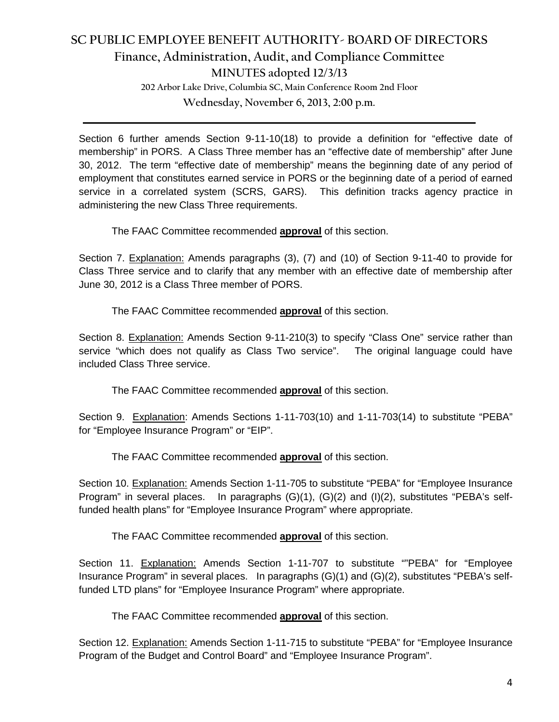# **SC PUBLIC EMPLOYEE BENEFIT AUTHORITY- BOARD OF DIRECTORS Finance, Administration, Audit, and Compliance Committee MINUTES adopted 12/3/13**

**202 Arbor Lake Drive, Columbia SC, Main Conference Room 2nd Floor**

**Wednesday, November 6, 2013, 2:00 p.m. \_\_\_\_\_\_\_\_\_\_\_\_\_\_\_\_\_\_\_\_\_\_\_\_\_\_\_\_\_\_\_\_\_\_\_\_\_\_\_\_\_\_\_\_\_\_\_\_\_\_\_\_\_\_\_\_\_\_\_\_\_\_\_\_\_\_\_\_\_\_\_\_**

Section 6 further amends Section 9-11-10(18) to provide a definition for "effective date of membership" in PORS. A Class Three member has an "effective date of membership" after June 30, 2012. The term "effective date of membership" means the beginning date of any period of employment that constitutes earned service in PORS or the beginning date of a period of earned service in a correlated system (SCRS, GARS). This definition tracks agency practice in administering the new Class Three requirements.

The FAAC Committee recommended **approval** of this section.

Section 7. Explanation: Amends paragraphs (3), (7) and (10) of Section 9-11-40 to provide for Class Three service and to clarify that any member with an effective date of membership after June 30, 2012 is a Class Three member of PORS.

The FAAC Committee recommended **approval** of this section.

Section 8. Explanation: Amends Section 9-11-210(3) to specify "Class One" service rather than service "which does not qualify as Class Two service". The original language could have included Class Three service.

The FAAC Committee recommended **approval** of this section.

Section 9. Explanation: Amends Sections 1-11-703(10) and 1-11-703(14) to substitute "PEBA" for "Employee Insurance Program" or "EIP".

The FAAC Committee recommended **approval** of this section.

Section 10. Explanation: Amends Section 1-11-705 to substitute "PEBA" for "Employee Insurance Program" in several places. In paragraphs (G)(1), (G)(2) and (I)(2), substitutes "PEBA's selffunded health plans" for "Employee Insurance Program" where appropriate.

The FAAC Committee recommended **approval** of this section.

Section 11. Explanation: Amends Section 1-11-707 to substitute ""PEBA" for "Employee Insurance Program" in several places. In paragraphs (G)(1) and (G)(2), substitutes "PEBA's selffunded LTD plans" for "Employee Insurance Program" where appropriate.

The FAAC Committee recommended **approval** of this section.

Section 12. Explanation: Amends Section 1-11-715 to substitute "PEBA" for "Employee Insurance Program of the Budget and Control Board" and "Employee Insurance Program".